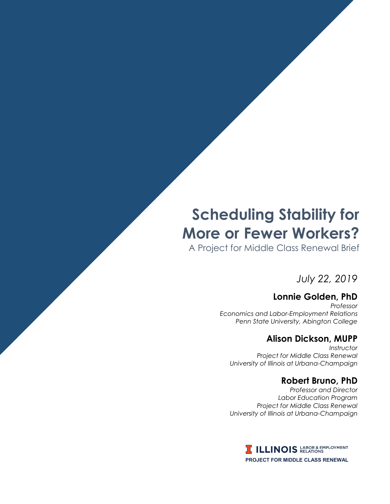# **Scheduling Stability for More or Fewer Workers?**

PMCR Brief: *Scheduling Stability* i

A Project for Middle Class Renewal Brief

*July 22, 2019*

# **Lonnie Golden, PhD**

*Professor Economics and Labor-Employment Relations Penn State University, Abington College*

## **Alison Dickson, MUPP**

*Instructor Project for Middle Class Renewal University of Illinois at Urbana-Champaign*

## **Robert Bruno, PhD**

*Professor and Director Labor Education Program Project for Middle Class Renewal University of Illinois at Urbana-Champaign*

> **I ILLINOIS** LABOR & EMPLOYMENT **PROJECT FOR MIDDLE CLASS RENEWAL**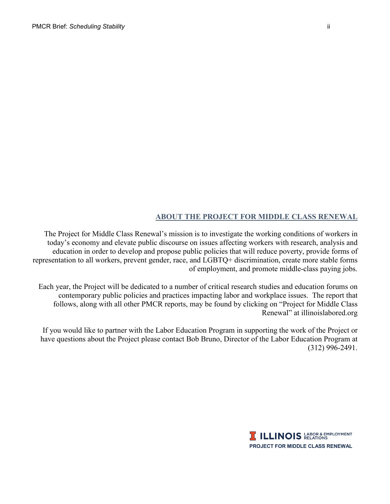#### **ABOUT THE PROJECT FOR MIDDLE CLASS RENEWAL**

The Project for Middle Class Renewal's mission is to investigate the working conditions of workers in today's economy and elevate public discourse on issues affecting workers with research, analysis and education in order to develop and propose public policies that will reduce poverty, provide forms of representation to all workers, prevent gender, race, and LGBTQ+ discrimination, create more stable forms of employment, and promote middle-class paying jobs.

Each year, the Project will be dedicated to a number of critical research studies and education forums on contemporary public policies and practices impacting labor and workplace issues. The report that follows, along with all other PMCR reports, may be found by clicking on "Project for Middle Class Renewal" at illinoislabored.org

If you would like to partner with the Labor Education Program in supporting the work of the Project or have questions about the Project please contact Bob Bruno, Director of the Labor Education Program at (312) 996-2491.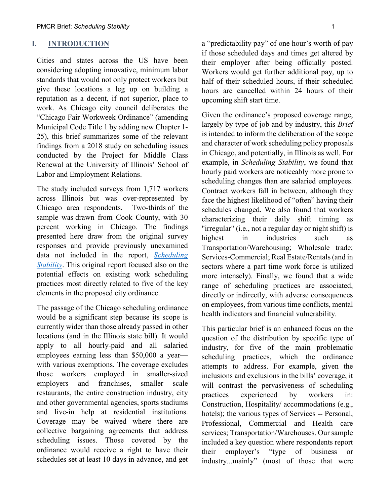#### **I. INTRODUCTION**

Cities and states across the US have been considering adopting innovative, minimum labor standards that would not only protect workers but give these locations a leg up on building a reputation as a decent, if not superior, place to work. As Chicago city council deliberates the "Chicago Fair Workweek Ordinance" (amending Municipal Code Title 1 by adding new Chapter 1- 25), this brief summarizes some of the relevant findings from a 2018 study on scheduling issues conducted by the Project for Middle Class Renewal at the University of Illinois' School of Labor and Employment Relations.

The study included surveys from 1,717 workers across Illinois but was over-represented by Chicago area respondents. Two-thirds of the sample was drawn from Cook County, with 30 percent working in Chicago. The findings presented here draw from the original survey responses and provide previously unexamined data not included in the report, *[Scheduling](http://publish.illinois.edu/projectformiddleclassrenewal/files/2019/07/Scheduling-Stability-final.pdf)  [Stability](http://publish.illinois.edu/projectformiddleclassrenewal/files/2019/07/Scheduling-Stability-final.pdf)*. This original report focused also on the potential effects on existing work scheduling practices most directly related to five of the key elements in the proposed city ordinance.

The passage of the Chicago scheduling ordinance would be a significant step because its scope is currently wider than those already passed in other locations (and in the Illinois state bill). It would apply to all hourly-paid and all salaried employees earning less than \$50,000 a year with various exemptions. The coverage excludes those workers employed in smaller-sized employers and franchises, smaller scale restaurants, the entire construction industry, city and other governmental agencies, sports stadiums and live-in help at residential institutions. Coverage may be waived where there are collective bargaining agreements that address scheduling issues. Those covered by the ordinance would receive a right to have their schedules set at least 10 days in advance, and get a "predictability pay" of one hour's worth of pay if those scheduled days and times get altered by their employer after being officially posted. Workers would get further additional pay, up to half of their scheduled hours, if their scheduled hours are cancelled within 24 hours of their upcoming shift start time.

Given the ordinance's proposed coverage range, largely by type of job and by industry, this *Brief*  is intended to inform the deliberation of the scope and character of work scheduling policy proposals in Chicago, and potentially, in Illinois as well*.* For example, in *Scheduling Stability*, we found that hourly paid workers are noticeably more prone to scheduling changes than are salaried employees. Contract workers fall in between, although they face the highest likelihood of "often" having their schedules changed. We also found that workers characterizing their daily shift timing as "irregular" (i.e., not a regular day or night shift) is highest in industries such as Transportation/Warehousing; Wholesale trade; Services-Commercial; Real Estate/Rentals (and in sectors where a part time work force is utilized more intensely). Finally, we found that a wide range of scheduling practices are associated, directly or indirectly, with adverse consequences on employees, from various time conflicts, mental health indicators and financial vulnerability.

This particular brief is an enhanced focus on the question of the distribution by specific type of industry, for five of the main problematic scheduling practices, which the ordinance attempts to address. For example, given the inclusions and exclusions in the bills' coverage, it will contrast the pervasiveness of scheduling practices experienced by workers in: Construction, Hospitality/ accommodations (e.g., hotels); the various types of Services -- Personal, Professional, Commercial and Health care services; Transportation/Warehouses. Our sample included a key question where respondents report their employer's "type of business or industry...mainly" (most of those that were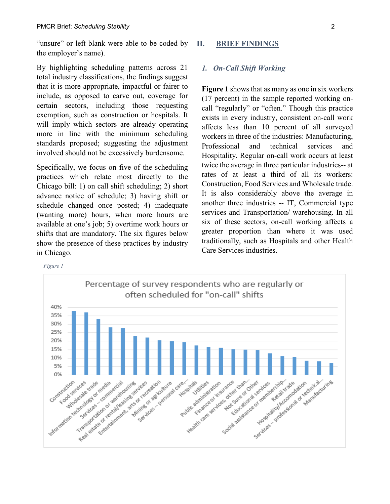"unsure" or left blank were able to be coded by the employer's name).

By highlighting scheduling patterns across 21 total industry classifications, the findings suggest that it is more appropriate, impactful or fairer to include, as opposed to carve out, coverage for certain sectors, including those requesting exemption, such as construction or hospitals. It will imply which sectors are already operating more in line with the minimum scheduling standards proposed; suggesting the adjustment involved should not be excessively burdensome.

Specifically, we focus on five of the scheduling practices which relate most directly to the Chicago bill: 1) on call shift scheduling; 2) short advance notice of schedule; 3) having shift or schedule changed once posted; 4) inadequate (wanting more) hours, when more hours are available at one's job; 5) overtime work hours or shifts that are mandatory. The six figures below show the presence of these practices by industry in Chicago.

#### **II. BRIEF FINDINGS**

#### *1. On-Call Shift Working*

**Figure 1** shows that as many as one in six workers (17 percent) in the sample reported working oncall "regularly" or "often." Though this practice exists in every industry, consistent on-call work affects less than 10 percent of all surveyed workers in three of the industries: Manufacturing, Professional and technical services and Hospitality. Regular on-call work occurs at least twice the average in three particular industries-- at rates of at least a third of all its workers: Construction, Food Services and Wholesale trade. It is also considerably above the average in another three industries -- IT, Commercial type services and Transportation/ warehousing. In all six of these sectors, on-call working affects a greater proportion than where it was used traditionally, such as Hospitals and other Health Care Services industries.

*Figure 1*

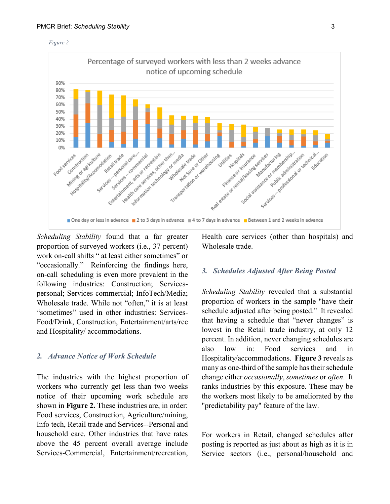



*Scheduling Stability* found that a far greater proportion of surveyed workers (i.e., 37 percent) work on-call shifts " at least either sometimes" or "occasionally." Reinforcing the findings here, on-call scheduling is even more prevalent in the following industries: Construction; Servicespersonal; Services-commercial; InfoTech/Media; Wholesale trade. While not "often," it is at least "sometimes" used in other industries: Services-Food/Drink, Construction, Entertainment/arts/rec and Hospitality/ accommodations.

#### *2. Advance Notice of Work Schedule*

The industries with the highest proportion of workers who currently get less than two weeks notice of their upcoming work schedule are shown in **Figure 2.** These industries are, in order: Food services, Construction, Agriculture/mining, Info tech, Retail trade and Services--Personal and household care. Other industries that have rates above the 45 percent overall average include Services-Commercial, Entertainment/recreation, Health care services (other than hospitals) and Wholesale trade.

#### *3. Schedules Adjusted After Being Posted*

*Scheduling Stability* revealed that a substantial proportion of workers in the sample "have their schedule adjusted after being posted." It revealed that having a schedule that "never changes" is lowest in the Retail trade industry, at only 12 percent. In addition, never changing schedules are also low in: Food services and in Hospitality/accommodations. **Figure 3** reveals as many as one-third of the sample has their schedule change either *occasionally*, *sometimes* or *often*. It ranks industries by this exposure. These may be the workers most likely to be ameliorated by the "predictability pay" feature of the law.

For workers in Retail, changed schedules after posting is reported as just about as high as it is in Service sectors (i.e., personal/household and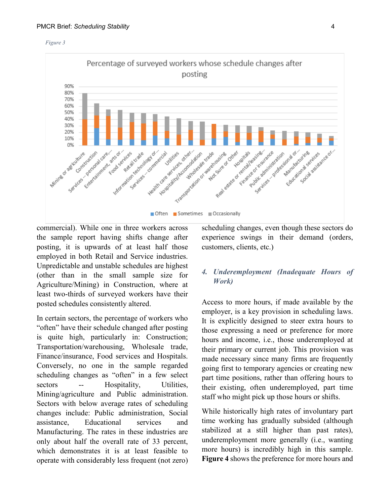



#### commercial). While one in three workers across the sample report having shifts change after posting, it is upwards of at least half those employed in both Retail and Service industries. Unpredictable and unstable schedules are highest (other than in the small sample size for Agriculture/Mining) in Construction, where at least two-thirds of surveyed workers have their posted schedules consistently altered.

In certain sectors, the percentage of workers who "often" have their schedule changed after posting is quite high, particularly in: Construction; Transportation/warehousing, Wholesale trade, Finance/insurance, Food services and Hospitals. Conversely, no one in the sample regarded scheduling changes as "often" in a few select sectors -- Hospitality, Utilities, Mining/agriculture and Public administration. Sectors with below average rates of scheduling changes include: Public administration, Social assistance, Educational services and Manufacturing. The rates in these industries are only about half the overall rate of 33 percent, which demonstrates it is at least feasible to operate with considerably less frequent (not zero) scheduling changes, even though these sectors do experience swings in their demand (orders, customers, clients, etc.)

#### *4. Underemployment (Inadequate Hours of Work)*

Access to more hours, if made available by the employer, is a key provision in scheduling laws. It is explicitly designed to steer extra hours to those expressing a need or preference for more hours and income, i.e., those underemployed at their primary or current job. This provision was made necessary since many firms are frequently going first to temporary agencies or creating new part time positions, rather than offering hours to their existing, often underemployed, part time staff who might pick up those hours or shifts.

While historically high rates of involuntary part time working has gradually subsided (although stabilized at a still higher than past rates), underemployment more generally (i.e., wanting more hours) is incredibly high in this sample. **Figure 4** shows the preference for more hours and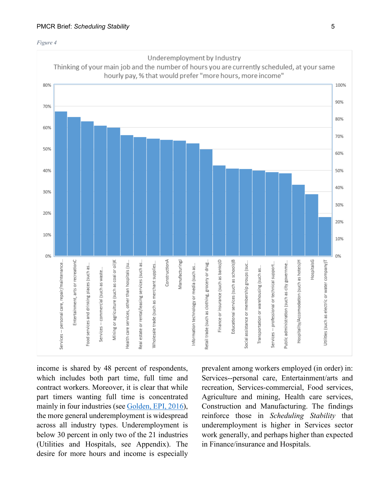



income is shared by 48 percent of respondents, which includes both part time, full time and contract workers. Moreover, it is clear that while part timers wanting full time is concentrated mainly in four industries (see [Golden, EPI, 2016\)](https://www.epi.org/publication/still-falling-short-on-hours-and-pay-part-time-work-becoming-new-normal/), the more general underemployment is widespread across all industry types. Underemployment is below 30 percent in only two of the 21 industries (Utilities and Hospitals, see Appendix). The desire for more hours and income is especially

prevalent among workers employed (in order) in: Services--personal care, Entertainment/arts and recreation, Services-commercial, Food services, Agriculture and mining, Health care services, Construction and Manufacturing. The findings reinforce those in *Scheduling Stability* that underemployment is higher in Services sector work generally, and perhaps higher than expected in Finance/insurance and Hospitals.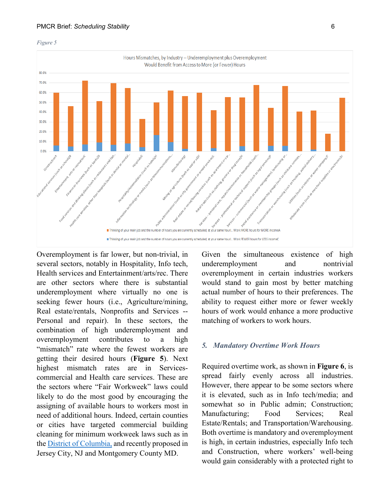



Overemployment is far lower, but non-trivial, in several sectors, notably in Hospitality, Info tech, Health services and Entertainment/arts/rec. There are other sectors where there is substantial underemployment where virtually no one is seeking fewer hours (i.e., Agriculture/mining, Real estate/rentals, Nonprofits and Services -- Personal and repair). In these sectors, the combination of high underemployment and overemployment contributes to a high "mismatch" rate where the fewest workers are getting their desired hours (**Figure 5**). Next highest mismatch rates are in Servicescommercial and Health care services. These are the sectors where "Fair Workweek" laws could likely to do the most good by encouraging the assigning of available hours to workers most in need of additional hours. Indeed, certain counties or cities have targeted commercial building cleaning for minimum workweek laws such as in the [District of Columbia,](http://lims.dccouncil.us/Legislation/B21-0331) and recently proposed in Jersey City, NJ and Montgomery County MD.

Given the simultaneous existence of high underemployment and nontrivial overemployment in certain industries workers would stand to gain most by better matching actual number of hours to their preferences. The ability to request either more or fewer weekly hours of work would enhance a more productive matching of workers to work hours.

#### *5. Mandatory Overtime Work Hours*

Required overtime work, as shown in **Figure 6**, is spread fairly evenly across all industries. However, there appear to be some sectors where it is elevated, such as in Info tech/media; and somewhat so in Public admin; Construction; Manufacturing; Food Services; Real Estate/Rentals; and Transportation/Warehousing. Both overtime is mandatory and overemployment is high, in certain industries, especially Info tech and Construction, where workers' well-being would gain considerably with a protected right to